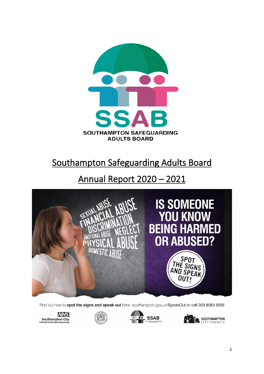

# Southampton Safeguarding Adults Board

# Annual Report 2020 – 2021



Find out how to spot the signs and speak out here: southampton.gov.uk/SpeakOut or call 023 8083 3003







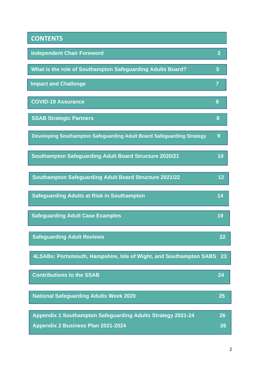| <b>CONTENTS</b>                                                       |                |
|-----------------------------------------------------------------------|----------------|
| <b>Independent Chair Foreword</b>                                     | 3              |
| What is the role of Southampton Safeguarding Adults Board?            | 5              |
| <b>Impact and Challenge</b>                                           | $\overline{7}$ |
| <b>COVID-19 Assurance</b>                                             | 8              |
| <b>SSAB Strategic Partners</b>                                        | 8              |
| Developing Southampton Safeguarding Adult Board Safeguarding Strategy | 9              |
| <b>Southampton Safeguarding Adult Board Structure 2020/21</b>         | 10             |
| <b>Southampton Safeguarding Adult Board Structure 2021/22</b>         | 12             |
| <b>Safeguarding Adults at Risk in Southampton</b>                     | 14             |
| <b>Safeguarding Adult Case Examples</b>                               | 19             |
| <b>Safeguarding Adult Reviews</b>                                     | 22             |
| 4LSABs: Portsmouth, Hampshire, Isle of Wight, and Southampton SABS    | 23             |
| <b>Contributions to the SSAB</b>                                      | 24             |
| <b>National Safeguarding Adults Week 2020</b>                         | 25             |
| Appendix 1 Southampton Safeguarding Adults Strategy 2021-24           | 26             |
| Appendix 2 Business Plan 2021-2024                                    | 26             |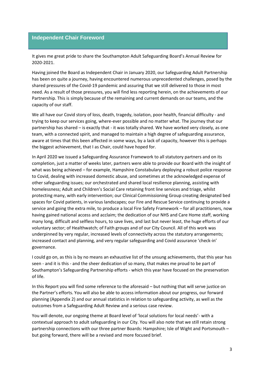# **Independent Chair Foreword**

It gives me great pride to share the Southampton Adult Safeguarding Board's Annual Review for 2020-2021.

Having joined the Board as Independent Chair in January 2020, our Safeguarding Adult Partnership has been on quite a journey, having encountered numerous unprecedented challenges, posed by the shared pressures of the Covid-19 pandemic and assuring that we still delivered to those in most need. As a result of those pressures, you will find less reporting herein, on the achievements of our Partnership. This is simply because of the remaining and current demands on our teams, and the capacity of our staff.

We all have our Covid story of loss, death, tragedy, isolation, poor health, financial difficulty - and trying to keep our services going, where-ever possible and no matter what. The journey that our partnership has shared – is exactly that - it was totally shared. We have worked very closely, as one team, with a connected spirit, and managed to maintain a high degree of safeguarding assurance, aware at times that this been affected in some ways, by a lack of capacity, however this is perhaps the biggest achievement, that I as Chair, could have hoped for.

In April 2020 we issued a Safeguarding Assurance Framework to all statutory partners and on its completion, just a matter of weeks later, partners were able to provide our Board with the insight of what was being achieved – for example, Hampshire Constabulary deploying a robust police response to Covid, dealing with increased domestic abuse, and sometimes at the acknowledged expense of other safeguarding issues; our orchestrated and shared local resilience planning, assisting with homelessness; Adult and Children's Social Care retaining front line services and triage, whilst protecting many, with early intervention; our Clinical Commissioning Group creating designated bed spaces for Covid patients, in various landscapes; our Fire and Rescue Service continuing to provide a service and going the extra mile, to produce a local Fire Safety Framework – for all practitioners, now having gained national access and acclaim; the dedication of our NHS and Care Home staff, working many long, difficult and selfless hours, to save lives, and last but never least, the huge efforts of our voluntary sector; of Healthwatch; of Faith groups and of our City Council. All of this work was underpinned by very regular, increased levels of connectivity across the statutory arrangements; increased contact and planning, and very regular safeguarding and Covid assurance 'check-in' governance.

I could go on, as this is by no means an exhaustive list of the unsung achievements, that this year has seen - and it is this - and the sheer dedication of so many, that makes me proud to be part of Southampton's Safeguarding Partnership efforts - which this year have focused on the preservation of life.

In this Report you will find some reference to the aforesaid – but nothing that will serve justice on the Partner's efforts. You will also be able to access information about our progress, our forward planning (Appendix 2) and our annual statistics in relation to safeguarding activity, as well as the outcomes from a Safeguarding Adult Review and a serious case review.

You will denote, our ongoing theme at Board level of 'local solutions for local needs'- with a contextual approach to adult safeguarding in our City. You will also note that we still retain strong partnership connections with our three partner Boards: Hampshire; Isle of Wight and Portsmouth – but going forward, there will be a revised and more focused brief.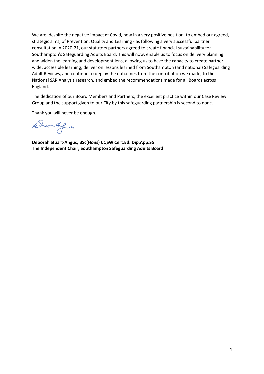We are, despite the negative impact of Covid, now in a very positive position, to embed our agreed, strategic aims, of Prevention, Quality and Learning - as following a very successful partner consultation in 2020-21, our statutory partners agreed to create financial sustainability for Southampton's Safeguarding Adults Board. This will now, enable us to focus on delivery planning and widen the learning and development lens, allowing us to have the capacity to create partner wide, accessible learning; deliver on lessons learned from Southampton (and national) Safeguarding Adult Reviews, and continue to deploy the outcomes from the contribution we made, to the National SAR Analysis research, and embed the recommendations made for all Boards across England.

The dedication of our Board Members and Partners; the excellent practice within our Case Review Group and the support given to our City by this safeguarding partnership is second to none.

Thank you will never be enough.

Short-Afri

**Deborah Stuart-Angus, BSc(Hons) CQSW Cert.Ed. Dip.App.SS The Independent Chair, Southampton Safeguarding Adults Board**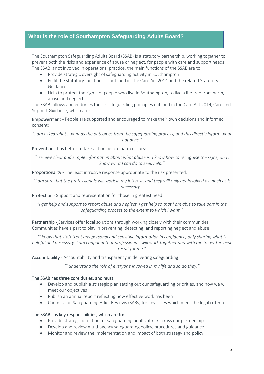# **What is the role of Southampton Safeguarding Adults Board?**

ׇ֦֚֘

The Southampton Safeguarding Adults Board (SSAB) is a statutory partnership, working together to prevent both the risks and experience of abuse or neglect, for people with care and support needs. The SSAB is not involved in operational practice, the main functions of the SSAB are to:

- Provide strategic oversight of safeguarding activity in Southampton
- Fulfil the statutory functions as outlined in The Care Act 2014 and the related Statutory Guidance
- Help to protect the rights of people who live in Southampton, to live a life free from harm, abuse and neglect.

The SSAB follows and endorses the six safeguarding principles outlined in the Care Act 2014, Care and Support Guidance, which are:

Empowerment - People are supported and encouraged to make their own decisions and informed consent:

*"I am asked what I want as the outcomes from the safeguarding process, and this directly inform what happens."*

Prevention - It is better to take action before harm occurs:

*"I receive clear and simple information about what abuse is. I know how to recognise the signs, and I know what I can do to seek help."*

Proportionality - The least intrusive response appropriate to the risk presented:

*"I am sure that the professionals will work in my interest, and they will only get involved as much as is necessary."*

Protection - Support and representation for those in greatest need:

*"I get help and support to report abuse and neglect. I get help so that I am able to take part in the safeguarding process to the extent to which I want."*

Partnership - Services offer local solutions through working closely with their communities. Communities have a part to play in preventing, detecting, and reporting neglect and abuse:

*"I know that staff treat any personal and sensitive information in confidence, only sharing what is helpful and necessary. I am confident that professionals will work together and with me to get the best result for me."*

Accountability - Accountability and transparency in delivering safeguarding:

*"I understand the role of everyone involved in my life and so do they."*

#### The SSAB has three core duties, and must:

- Develop and publish a strategic plan setting out our safeguarding priorities, and how we will meet our objectives
- Publish an annual report reflecting how effective work has been
- Commission Safeguarding Adult Reviews (SARs) for any cases which meet the legal criteria.

#### The SSAB has key responsibilities, which are to:

- Provide strategic direction for safeguarding adults at risk across our partnership
- Develop and review multi-agency safeguarding policy, procedures and guidance
- Monitor and review the implementation and impact of both strategy and policy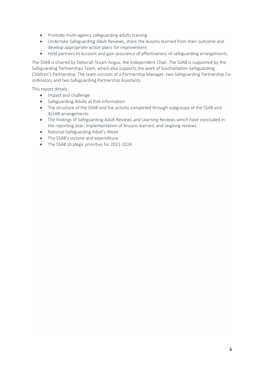- Promote multi-agency safeguarding adults training
- Undertake Safeguarding Adult Reviews, share the lessons learned from their outcome and develop appropriate action plans for improvement
- Hold partners to account and gain assurance of effectiveness of safeguarding arrangements.

The SSAB is chaired by Deborah Stuart-Angus, the Independent Chair. The SSAB is supported by the Safeguarding Partnerships Team, which also supports the work of Southampton Safeguarding Children's Partnership. The team consists of a Partnership Manager, two Safeguarding Partnership Coordinators and two Safeguarding Partnership Assistants.

This report details:

- Impact and challenge
- Safeguarding Adults at Risk information
- The structure of the SSAB and the activity completed through subgroups of the SSAB and 4LSAB arrangements
- The findings of Safeguarding Adult Reviews and Learning Reviews which have concluded in the reporting year; implementation of lessons learned, and ongoing reviews
- National Safeguarding Adult's Week
- The SSAB's income and expenditure
- The SSAB strategic priorities for 2021-2024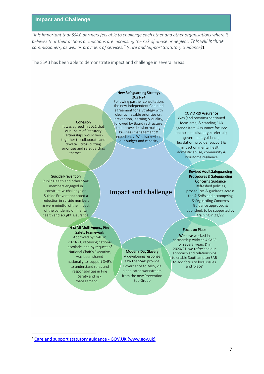#### **Impact and Challenge**

*"it is important that SSAB partners feel able to challenge each other and other organisations where it believes that their actions or inactions are increasing the risk of abuse or neglect. This will include commissioners, as well as providers of services." (Care and Support Statutory Guidance)*1

The SSAB has been able to demonstrate impact and challenge in several areas:

#### New Safeguarding Strategy 2021-24

Cohesion

It was agreed in 2021 that our Chairs of Statutory Partnerships would work together to collaborate and dovetail, cross cutting priorities and safeguarding themes.

#### Suicide Prevention

Public Health and other SSAB members engaged in constructive challenge on Suicide Prevention; noted a reduction in suicide numbers & were mindful of the impact of the pandemic on mental health and sought assurance.

#### Following partner consultation, the new Independent Chair led agreement for a Strategy with clear achievable priorities on: prevention, learning & quality, followed by Board restructure, to improve decision making, business management & expediency. We also revised our budget and capacity

# Impact and Challenge

#### COVID -19 Assurance

Was (and remains) continued focus area, & standing SAB agenda item. Assurance focused on: hospital discharge; referrals; government guidance; legislation; provider support & impact on mental health, domestic abuse, community & workforce resilience

#### Revised Adult Safeguarding Procedures & Safeguarding Concerns Guidance Refreshed policies,

procedures & guidance across the 4LSABs and accompying Safeguarding Concerns Guidance approved & published, to be supported by training in 21/22

#### Focus on Place

We have worked in partnership withthe 4 SABS for several years & in 2020/21, we refreshed our approach and relationships to enable Southampton SAB to add focus to local issues and 'place'

#### 4 LSAB Multi Agency Fire Safety Framework Approved by SSAB in

2020/21, receiving national accolade ,and by request of National Chair's Executive, was been shared nationally,to support SAB's to understand roles and responsibilities in Fire Safety and risk management.

#### Modern Day Slavery

A developing response saw the SSAB provide Governance to MDS, via a dedicated workstream from the new Prevention Sub Group

<sup>1</sup> [Care and support statutory guidance -](https://www.gov.uk/government/publications/care-act-statutory-guidance/care-and-support-statutory-guidance#safeguarding-1) GOV.UK (www.gov.uk)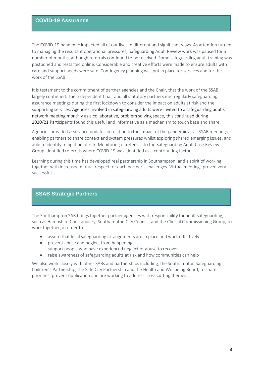### **COVID-19 Assurance**

The COVID-19 pandemic impacted all of our lives in different and significant ways. As attention turned to managing the resultant operational pressures, Safeguarding Adult Review work was paused for a number of months, although referrals continued to be received. Some safeguarding adult training was postponed and restarted online. Considerable and creative efforts were made to ensure adults with care and support needs were safe. Contingency planning was put in place for services and for the work of the SSAB.

It is testament to the commitment of partner agencies and the Chair, that the work of the SSAB largely continued. The Independent Chair and all statutory partners met regularly safeguarding assurance meetings during the first lockdown to consider the impact on adults at risk and the supporting services. Agencies involved in safeguarding adults were invited to a safeguarding adults' network meeting monthly as a collaborative, problem solving space, this continued during 2020/21.Participants found this useful and informative as a mechanism to touch base and share.

Agencies provided assurance updates in relation to the impact of the pandemic at all SSAB meetings, enabling partners to share context and system pressures whilst exploring shared emerging issues, and able to identify mitigation of risk. Monitoring of referrals to the Safeguarding Adult Case Review Group identified referrals where COVID-19 was identified as a contributing factor

Learning during this time has developed real partnership in Southampton; and a spirit of working together with increased mutual respect for each partner's challenges. Virtual meetings proved very successful.

### **SSAB Strategic Partners**

The Southampton SAB brings together partner agencies with responsibility for adult safeguarding, such as Hampshire Constabulary, Southampton City Council, and the Clinical Commissioning Group, to work together, in order to:

- assure that local safeguarding arrangements are in place and work effectively
- prevent abuse and neglect from happening support people who have experienced neglect or abuse to recover
- raise awareness of safeguarding adults at risk and how communities can help

We also work closely with other SABs and partnerships including, the Southampton Safeguarding Children's Partnership, the Safe City Partnership and the Health and Wellbeing Board, to share priorities, prevent duplication and are working to address cross cutting themes.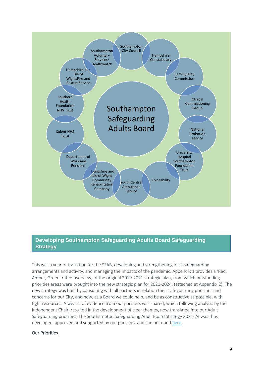

# **Developing Southampton Safeguarding Adults Board Safeguarding Strategy**

This was a year of transition for the SSAB, developing and strengthening local safeguarding arrangements and activity, and managing the impacts of the pandemic. Appendix 1 provides a 'Red, Amber, Green' rated overview, of the original 2019-2021 strategic plan, from which outstanding priorities areas were brought into the new strategic plan for 2021-2024, (attached at Appendix 2). The new strategy was built by consulting with all partners in relation their safeguarding priorities and concerns for our City, and how, as a Board we could help, and be as constructive as possible, with tight resources. A wealth of evidence from our partners was shared, which following analysis by the Independent Chair, resulted in the development of clear themes, now translated into our Adult Safeguarding priorities. The Southampton Safeguarding Adult Board Strategy 2021-24 was thus developed, approved and supported by our partners, and can be foun[d here.](http://southamptonlsab.org.uk/wp-content/uploads/SSAB-Strategy-Safeguarding-Adults-2021-24.pdf)

#### Our Priorities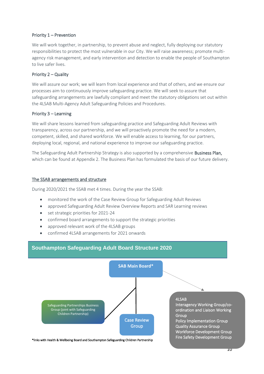#### Priority 1 – Prevention

We will work together, in partnership, to prevent abuse and neglect, fully deploying our statutory responsibilities to protect the most vulnerable in our City. We will raise awareness; promote multiagency risk management, and early intervention and detection to enable the people of Southampton to live safer lives.

#### Priority 2 – Quality

We will assure our work; we will learn from local experience and that of others, and we ensure our processes aim to continuously improve safeguarding practice. We will seek to assure that safeguarding arrangements are lawfully compliant and meet the statutory obligations set out within the 4LSAB Multi-Agency Adult Safeguarding Policies and Procedures.

#### Priority 3 – Learning

We will share lessons learned from safeguarding practice and Safeguarding Adult Reviews with transparency, across our partnership, and we will proactively promote the need for a modern, competent, skilled, and shared workforce. We will enable access to learning, for our partners, deploying local, regional, and national experience to improve our safeguarding practice.

The Safeguarding Adult Partnership Strategy is also supported by a comprehensive Business Plan, which can be found at Appendix 2. The Business Plan has formulated the basis of our future delivery.

#### The SSAB arrangements and structure

During 2020/2021 the SSAB met 4 times. During the year the SSAB:

- monitored the work of the Case Review Group for Safeguarding Adult Reviews
- approved Safeguarding Adult Review Overview Reports and SAR Learning reviews
- set strategic priorities for 2021-24
- confirmed board arrangements to support the strategic priorities
- approved relevant work of the 4LSAB groups
- confirmed 4LSAB arrangements for 2021 onwards



\*links with Health & Wellbeing Board and Southampton Safeguarding Children Partnership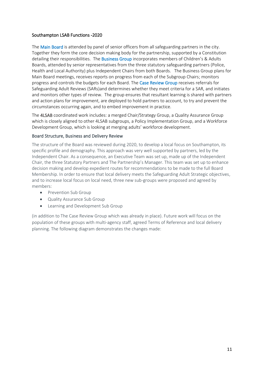#### Southampton LSAB Functions -2020

The Main Board is attended by panel of senior officers from all safeguarding partners in the city. Together they form the core decision making body for the partnership, supported by a Constitution detailing their responsibilities. The **Business Group** incorporates members of Children's & Adults Boards, attended by senior representatives from the three statutory safeguarding partners (Police, Health and Local Authority) plus Independent Chairs from both Boards. The Business Group plans for Main Board meetings, receives reports on progress from each of the Subgroup Chairs; monitors progress and controls the budgets for each Board. The Case Review Group receives referrals for Safeguarding Adult Reviews (SARs)and determines whether they meet criteria for a SAR, and initiates and monitors other types of review. The group ensures that resultant learning is shared with partners and action plans for improvement, are deployed to hold partners to account, to try and prevent the circumstances occurring again, and to embed improvement in practice.

The 4LSAB coordinated work includes: a merged Chair/Strategy Group, a Quality Assurance Group which is closely aligned to other 4LSAB subgroups, a Policy Implementation Group, and a Workforce Development Group, which is looking at merging adults' workforce development.

#### Board Structure, Business and Delivery Review

The structure of the Board was reviewed during 2020, to develop a local focus on Southampton, its specific profile and demography. This approach was very well supported by partners, led by the Independent Chair. As a consequence, an Executive Team was set up, made up of the Independent Chair, the three Statutory Partners and The Partnership's Manager. This team was set up to enhance decision making and develop expedient routes for recommendations to be made to the full Board Membership. In order to ensure that local delivery meets the Safeguarding Adult Strategic objectives, and to increase local focus on local need, three new sub-groups were proposed and agreed by members:

- Prevention Sub Group
- Quality Assurance Sub Group
- Learning and Development Sub Group

(in addition to The Case Review Group which was already in place). Future work will focus on the population of these groups with multi-agency staff, agreed Terms of Reference and local delivery planning. The following diagram demonstrates the changes made: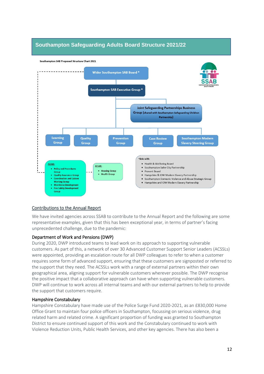# **Southampton Safeguarding Adults Board Structure 2021/22**



#### Contributions to the Annual Report

We have invited agencies across SSAB to contribute to the Annual Report and the following are some representative examples, given that this has been exceptional year, in terms of partner's facing unprecedented challenge, due to the pandemic:

#### Department of Work and Pensions (DWP)

During 2020, DWP introduced teams to lead work on its approach to supporting vulnerable customers. As part of this, a network of over 30 Advanced Customer Support Senior Leaders (ACSSLs) were appointed, providing an escalation route for all DWP colleagues to refer to when a customer requires some form of advanced support, ensuring that these customers are signposted or referred to the support that they need. The ACSSLs work with a range of external partners within their own geographical area, aligning support for vulnerable customers wherever possible. The DWP recognise the positive impact that a collaborative approach can have when supporting vulnerable customers. DWP will continue to work across all internal teams and with our external partners to help to provide the support that customers require.

#### Hampshire Constabulary

Hampshire Constabulary have made use of the Police Surge Fund 2020-2021, as an £830,000 Home Office Grant to maintain four police officers in Southampton, focussing on serious violence, drug related harm and related crime. A significant proportion of funding was granted to Southampton District to ensure continued support of this work and the Constabulary continued to work with Violence Reduction Units, Public Health Services, and other key agencies. There has also been a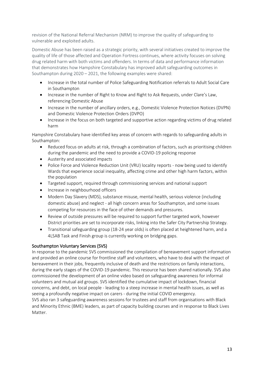revision of the National Referral Mechanism (NRM) to improve the quality of safeguarding to vulnerable and exploited adults.

Domestic Abuse has been raised as a strategic priority, with several initiatives created to improve the quality of life of those affected and Operation Fortress continues, where activity focuses on solving drug related harm with both victims and offenders. In terms of data and performance information that demonstrates how Hampshire Constabulary has improved adult safeguarding outcomes in Southampton during 2020 – 2021, the following examples were shared:

- Increase in the total number of Police Safeguarding Notification referrals to Adult Social Care in Southampton
- Increase in the number of Right to Know and Right to Ask Requests, under Clare's Law, referencing Domestic Abuse
- Increase in the number of ancillary orders, e.g., Domestic Violence Protection Notices (DVPN) and Domestic Violence Protection Orders (DVPO)
- Increase in the focus on both targeted and supportive action regarding victims of drug related harm

Hampshire Constabulary have identified key areas of concern with regards to safeguarding adults in Southampton:

- Reduced focus on adults at risk, through a combination of factors, such as prioritising children during the pandemic and the need to provide a COVID-19 policing response
- Austerity and associated impacts
- Police Force and Violence Reduction Unit (VRU) locality reports now being used to identify Wards that experience social inequality, affecting crime and other high harm factors, within the population
- Targeted support, required through commissioning services and national support
- Increase in neighbourhood officers
- Modern Day Slavery (MDS), substance misuse, mental health, serious violence (including domestic abuse) and neglect - all high concern areas for Southampton, and some issues competing for resources in the face of other demands and pressures.
- Review of outside pressures will be required to support further targeted work, however District priorities are set to incorporate risks, linking into the Safer City Partnership Strategy.
- Transitional safeguarding group (18-24 year olds) is often placed at heightened harm, and a 4LSAB Task and Finish group is currently working on bridging gaps.

#### Southampton Voluntary Services (SVS)

In response to the pandemic SVS commissioned the compilation of bereavement support information and provided an online course for frontline staff and volunteers, who have to deal with the impact of bereavement in their jobs, frequently inclusive of death and the restrictions on family interactions, during the early stages of the COVID-19 pandemic. This resource has been shared nationally. SVS also commissioned the development of an online video based on safeguarding awareness for informal volunteers and mutual aid groups. SVS identified the cumulative impact of lockdown, financial concerns, and debt, on local people - leading to a steep increase in mental health issues, as well as seeing a profoundly negative impact on carers - during the initial COVID emergency. SVS also ran 3 safeguarding awareness sessions for trustees and staff from organisations with Black and Minority Ethnic (BME) leaders, as part of capacity building courses and in response to Black Lives Matter.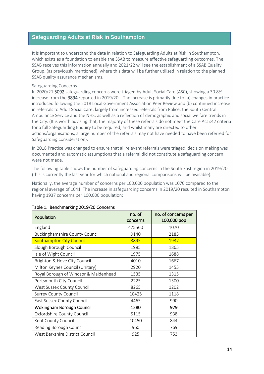## **Safeguarding Adults at Risk in Southampton**

It is important to understand the data in relation to Safeguarding Adults at Risk in Southampton, which exists as a foundation to enable the SSAB to measure effective safeguarding outcomes. The SSAB receives this information annually and 2021/22 will see the establishment of a SSAB Quality Group, (as previously mentioned), where this data will be further utilised in relation to the planned SSAB quality assurance mechanisms.

#### Safeguarding Concerns

In 2020/21 5092 safeguarding concerns were triaged by Adult Social Care (ASC), showing a 30.8% increase from the 3894 reported in 2019/20. The increase is primarily due to (a) changes in practice introduced following the 2018 Local Government Association Peer Review and (b) continued increase in referrals to Adult Social Care: largely from increased referrals from Police, the South Central Ambulance Service and the NHS; as well as a reflection of demographic and social welfare trends in the City. (It is worth advising that, the majority of these referrals do not meet the Care Act s42 criteria for a full Safeguarding Enquiry to be required, and whilst many are directed to other actions/organisations, a large number of the referrals may not have needed to have been referred for Safeguarding consideration).

In 2018 Practice was changed to ensure that all relevant referrals were triaged, decision making was documented and automatic assumptions that a referral did not constitute a safeguarding concern, were not made.

The following table shows the number of safeguarding concerns in the South East region in 2019/20 (this is currently the last year for which national and regional comparisons will be available).

Nationally, the average number of concerns per 100,000 population was 1070 compared to the regional average of 1041. The increase in safeguarding concerns in 2019/20 resulted in Southampton having 1937 concerns per 100,000 population:

| Population                            | no. of<br>concerns | no. of concerns per<br>100,000 pop |
|---------------------------------------|--------------------|------------------------------------|
| England                               | 475560             | 1070                               |
| <b>Buckinghamshire County Council</b> | 9140               | 2185                               |
| <b>Southampton City Council</b>       | 3895               | 1937                               |
| Slough Borough Council                | 1985               | 1865                               |
| Isle of Wight Council                 | 1975               | 1688                               |
| Brighton & Hove City Council          | 4010               | 1667                               |
| Milton Keynes Council (Unitary)       | 2920               | 1455                               |
| Royal Borough of Windsor & Maidenhead | 1535               | 1315                               |
| Portsmouth City Council               | 2225               | 1300                               |
| West Sussex County Council            | 8265               | 1202                               |
| <b>Surrey County Council</b>          | 10425              | 1118                               |
| East Sussex County Council            | 4465               | 990                                |
| <b>Wokingham Borough Council</b>      | 1280               | 979                                |
| Oxfordshire County Council            | 5115               | 938                                |
| Kent County Council                   | 10450              | 844                                |
| Reading Borough Council               | 960                | 769                                |
| West Berkshire District Council       | 925                | 753                                |

#### Table 1. Benchmarking 2019/20 Concerns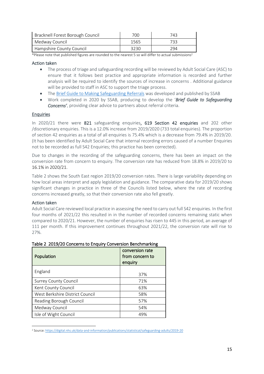| Bracknell Forest Borough Council | 700  | 743  |
|----------------------------------|------|------|
| Medway Council                   | 1565 | 733. |
| Hampshire County Council         | 3230 | 294  |

\*Please note that published figures are rounded to the nearest 5 so will differ to actual submissions<sup>2</sup>

#### Action taken

- The process of triage and safeguarding recording will be reviewed by Adult Social Care (ASC) to ensure that it follows best practice and appropriate information is recorded and further analysis will be required to identify the sources of increase in concerns . Additional guidance will be provided to staff in ASC to support the triage process.
- The [Brief Guide to Making Safeguarding Referrals](http://southamptonlsab.org.uk/wp-content/uploads/Soton-SAB-Safeguarding-Concerns-A-Brief-Guide-for-Referrers-Final.pdf) was developed and published by SSAB
- Work completed in 2020 by SSAB, producing to develop the '*Brief Guide to Safeguarding Concerns'*, providing clear advice to partners about referral criteria.

#### Enquiries

In 2020/21 there were 821 safeguarding enquiries, 619 Section 42 enquiries and 202 other /discretionary enquiries. This is a 12.0% increase from 2019/2020 (733 total enquiries). The proportion of section 42 enquiries as a total of all enquiries is 75.4% which is a decrease from 79.4% in 2019/20. (It has been identified by Adult Social Care that internal recording errors caused of a number Enquiries not to be recorded as full S42 Enquiries; this practice has been corrected).

Due to changes in the recording of the safeguarding concerns, there has been an impact on the conversion rate from concern to enquiry. The conversion rate has reduced from 18.8% in 2019/20 to 16.1% in 2020/21.

Table 2 shows the South East region 2019/20 conversion rates. There is large variability depending on how local areas interpret and apply legislation and guidance. The comparative data for 2019/20 shows significant changes in practice in three of the Councils listed below, where the rate of recording concerns increased greatly, so that their conversion rate also fell greatly.

#### Action taken

Adult Social Care reviewed local practice in assessing the need to carry out full S42 enquiries. In the first four months of 2021/22 this resulted in in the number of recorded concerns remaining static when compared to 2020/21. However, the number of enquiries has risen to 445 in this period, an average of 111 per month. If this improvement continues throughout 2021/22, the conversion rate will rise to 27%.

| conversion rate<br>from concern to<br>Population<br>enquiry |     |
|-------------------------------------------------------------|-----|
| England                                                     | 37% |
| <b>Surrey County Council</b>                                | 71% |
| Kent County Council                                         | 63% |
| West Berkshire District Council                             | 58% |
| Reading Borough Council                                     | 57% |
| Medway Council                                              | 54% |
| Isle of Wight Council                                       | 49% |

#### Table 2 2019/20 Concerns to Enquiry Conversion Benchmarking

<sup>2</sup> Source[: https://digital.nhs.uk/data-and-information/publications/statistical/safeguarding-adults/2019-20](https://digital.nhs.uk/data-and-information/publications/statistical/safeguarding-adults/2019-20)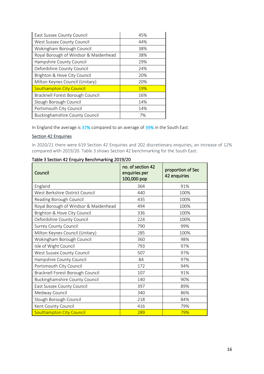| East Sussex County Council            | 45% |
|---------------------------------------|-----|
| West Sussex County Council            | 44% |
| Wokingham Borough Council             | 38% |
| Royal Borough of Windsor & Maidenhead | 38% |
| Hampshire County Council              | 29% |
| Oxfordshire County Council            | 24% |
| Brighton & Hove City Council          | 20% |
| Milton Keynes Council (Unitary)       | 20% |
| <b>Southampton City Council</b>       | 19% |
| Bracknell Forest Borough Council      | 16% |
| Slough Borough Council                | 14% |
| Portsmouth City Council               | 14% |
| <b>Buckinghamshire County Council</b> | 7%  |

In England the average is 37% compared to an average of 39% in the South East.

#### Section 42 Enquiries

In 2020/21 there were 619 Section 42 Enquiries and 202 discretionary enquiries, an increase of 12% compared with 2019/20. Table 3 shows Section 42 benchmarking for the South East:

| Council                               | no. of section 42<br>enquiries per<br>100,000 pop | proportion of Sec<br>42 enquiries |
|---------------------------------------|---------------------------------------------------|-----------------------------------|
| England                               | 364                                               | 91%                               |
| West Berkshire District Council       | 440                                               | 100%                              |
| Reading Borough Council               | 435                                               | 100%                              |
| Royal Borough of Windsor & Maidenhead | 494                                               | 100%                              |
| Brighton & Hove City Council          | 336                                               | 100%                              |
| Oxfordshire County Council            | 224                                               | 100%                              |
| <b>Surrey County Council</b>          | 790                                               | 99%                               |
| Milton Keynes Council (Unitary)       | 285                                               | 100%                              |
| Wokingham Borough Council             | 360                                               | 98%                               |
| Isle of Wight Council                 | 793                                               | 97%                               |
| West Sussex County Council            | 507                                               | 97%                               |
| Hampshire County Council              | 84                                                | 97%                               |
| Portsmouth City Council               | 172                                               | 94%                               |
| Bracknell Forest Borough Council      | 107                                               | 91%                               |
| Buckinghamshire County Council        | 140                                               | 90%                               |
| East Sussex County Council            | 397                                               | 89%                               |
| Medway Council                        | 340                                               | 86%                               |
| Slough Borough Council                | 218                                               | 84%                               |
| Kent County Council                   | 416                                               | 79%                               |
| <b>Southampton City Council</b>       | 289                                               | 79%                               |

#### Table 3 Section 42 Enquiry Benchmarking 2019/20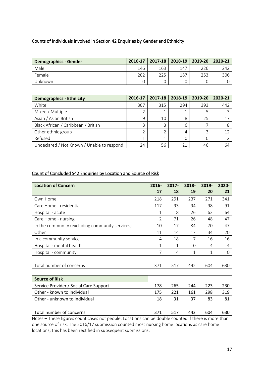#### Counts of Individuals involved in Section 42 Enquiries by Gender and Ethnicity

| <b>Demographics - Gender</b> | 2016-17 | 2017-18   2018-19 |     | 2019-20 | 2020-21 |
|------------------------------|---------|-------------------|-----|---------|---------|
| Male                         | 146     | 163               | 147 | 226     | 242     |
| Female                       | 202     | 225               | 187 | 253     | 306     |
| Unknown                      |         |                   |     |         |         |

| <b>Demographics - Ethnicity</b>            | 2016-17 | 2017-18 | 2018-19 | 2019-20 | 2020-21 |
|--------------------------------------------|---------|---------|---------|---------|---------|
| White                                      | 307     | 315     | 294     | 393     | 442     |
| Mixed / Multiple                           |         |         |         |         |         |
| Asian / Asian British                      | q       | 10      | 8       | 25      |         |
| Black African / Caribbean / British        |         |         | 6       |         |         |
| Other ethnic group                         |         |         |         |         |         |
| Refused                                    |         |         |         |         |         |
| Undeclared / Not Known / Unable to respond | 24      | 56      |         | 46      | 64      |

### Count of Concluded S42 Enquiries by Location and Source of Risk

| <b>Location of Concern</b>                      | 2016-<br>17    | $2017 -$<br>18 | 2018-<br>19  | 2019-<br>20 | 2020-<br>21 |
|-------------------------------------------------|----------------|----------------|--------------|-------------|-------------|
| Own Home                                        | 218            | 291            | 237          | 271         | 341         |
| Care Home - residential                         | 117            | 93             | 94           | 98          | 91          |
| Hospital - acute                                | 1              | 8              | 26           | 62          | 64          |
| Care Home - nursing                             | $\overline{2}$ | 71             | 26           | 48          | 47          |
| In the community (excluding community services) | 10             | 17             | 34           | 70          | 47          |
| Other                                           | 11             | 14             | 17           | 34          | 20          |
| In a community service                          | 4              | 18             | 7            | 16          | 16          |
| Hospital - mental health                        | 1              | 1              | $\Omega$     | 4           | 4           |
| Hospital - community                            | $\overline{7}$ | 4              | $\mathbf{1}$ | 1           | $\Omega$    |
|                                                 |                |                |              |             |             |
| Total number of concerns                        | 371            | 517            | 442          | 604         | 630         |
|                                                 |                |                |              |             |             |
| <b>Source of Risk</b>                           |                |                |              |             |             |
| Service Provider / Social Care Support          | 178            | 265            | 244          | 223         | 230         |
| Other - known to individual                     | 175            | 221            | 161          | 298         | 319         |
| Other - unknown to individual                   | 18             | 31             | 37           | 83          | 81          |
|                                                 |                |                |              |             |             |
| Total number of concerns                        | 371            | 517            | 442          | 604         | 630         |

Notes – These figures count cases not people. Locations can be double counted if there is more than one source of risk. The 2016/17 submission counted most nursing home locations as care home locations, this has been rectified in subsequent submissions.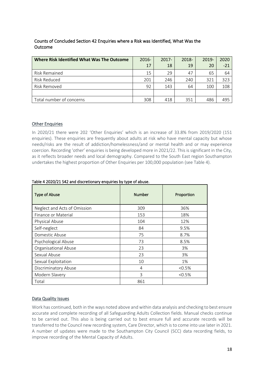| Where Risk Identified What Was The Outcome | $2016 -$ | $2017 -$ | 2018- | 2019- | 2020  |
|--------------------------------------------|----------|----------|-------|-------|-------|
|                                            | 17       | 18       | 19    | 20    | $-21$ |
| Risk Remained                              | 15       | 29       | 47    | 65    | 64    |
| <b>Risk Reduced</b>                        | 201      | 246      | 240   | 321   | 323   |
| Risk Removed                               | 92       | 143      | 64    | 100   | 108   |
|                                            |          |          |       |       |       |
| Total number of concerns                   | 308      | 418      | 351   | 486   | 495   |

### Counts of Concluded Section 42 Enquiries where a Risk was Identified, What Was the Outcome

### Other Enquiries

In 2020/21 there were 202 'Other Enquiries' which is an increase of 33.8% from 2019/2020 (151 enquiries). These enquiries are frequently about adults at risk who have mental capacity but whose needs/risks are the result of addiction/homelessness/and or mental health and or may experience coercion. Recording 'other' enquiries is being developed more in 2021/22. This is significant in the City, as it reflects broader needs and local demography. Compared to the South East region Southampton undertakes the highest proportion of Other Enquiries per 100,000 population (see Table 4).

| <b>Type of Abuse</b>         | <b>Number</b> | Proportion |
|------------------------------|---------------|------------|
| Neglect and Acts of Omission | 309           | 36%        |
| Finance or Material          | 153           | 18%        |
| Physical Abuse               | 104           | 12%        |
| Self-neglect                 | 84            | 9.5%       |
| Domestic Abuse               | 75            | 8.7%       |
| Psychological Abuse          | 73            | 8.5%       |
| Organisational Abuse         | 23            | 3%         |
| Sexual Abuse                 | 23            | 3%         |
| Sexual Exploitation          | 10            | 1%         |
| Discriminatory Abuse         | 4             | $< 0.5\%$  |
| Modern Slavery               | 3             | < 0.5%     |
| Total                        | 861           |            |

#### Table 4 2020/21 S42 and discretionary enquiries by type of abuse.

#### Data Quality Issues

Work has continued, both in the ways noted above and within data analysis and checking to best ensure accurate and complete recording of all Safeguarding Adults Collection fields. Manual checks continue to be carried out. This also is being carried out to best ensure full and accurate records will be transferred to the Council new recording system, Care Director, which is to come into use later in 2021. A number of updates were made to the Southampton City Council (SCC) data recording fields, to improve recording of the Mental Capacity of Adults.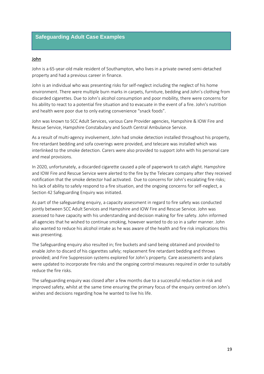### **Safeguarding Adult Case Examples**

#### John

John is a 65-year-old male resident of Southampton, who lives in a private owned semi-detached property and had a previous career in finance.

John is an individual who was presenting risks for self-neglect including the neglect of his home environment. There were multiple burn marks in carpets, furniture, bedding and John's clothing from discarded cigarettes. Due to John's alcohol consumption and poor mobility, there were concerns for his ability to react to a potential fire situation and to evacuate in the event of a fire. John's nutrition and health were poor due to only eating convenience "snack foods".

John was known to SCC Adult Services, various Care Provider agencies, Hampshire & IOW Fire and Rescue Service, Hampshire Constabulary and South Central Ambulance Service.

As a result of multi-agency involvement, John had smoke detection installed throughout his property, fire retardant bedding and sofa coverings were provided, and telecare was installed which was interlinked to the smoke detection. Carers were also provided to support John with his personal care and meal provisions.

In 2020, unfortunately, a discarded cigarette caused a pile of paperwork to catch alight. Hampshire and IOW Fire and Rescue Service were alerted to the fire by the Telecare company after they received notification that the smoke detector had activated. Due to concerns for John's escalating fire risks; his lack of ability to safely respond to a fire situation, and the ongoing concerns for self-neglect, a Section 42 Safeguarding Enquiry was initiated.

As part of the safeguarding enquiry, a capacity assessment in regard to fire safety was conducted jointly between SCC Adult Services and Hampshire and IOW Fire and Rescue Service. John was assessed to have capacity with his understanding and decision making for fire safety. John informed all agencies that he wished to continue smoking, however wanted to do so in a safer manner. John also wanted to reduce his alcohol intake as he was aware of the health and fire risk implications this was presenting.

The Safeguarding enquiry also resulted in; fire buckets and sand being obtained and provided to enable John to discard of his cigarettes safely; replacement fire retardant bedding and throws provided; and Fire Suppression systems explored for John's property. Care assessments and plans were updated to incorporate fire risks and the ongoing control measures required in order to suitably reduce the fire risks.

The safeguarding enquiry was closed after a few months due to a successful reduction in risk and improved safety, whilst at the same time ensuring the primary focus of the enquiry centred on John's wishes and decisions regarding how he wanted to live his life.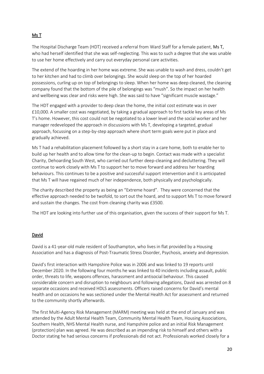### Ms T

The Hospital Discharge Team (HDT) received a referral from Ward Staff for a female patient, Ms T, who had herself identified that she was self-neglecting. This was to such a degree that she was unable to use her home effectively and carry out everyday personal care activities.

The extend of the hoarding in her home was extreme. She was unable to wash and dress, couldn't get to her kitchen and had to climb over belongings. She would sleep on the top of her hoarded possessions, curling up on top of belongings to sleep. When her home was deep cleaned, the cleaning company found that the bottom of the pile of belongings was "mush". So the impact on her health and wellbeing was clear and risks were high. She was said to have "significant muscle wastage."

The HDT engaged with a provider to deep clean the home, the initial cost estimate was in over £10,000. A smaller cost was negotiated, by taking a gradual approach to first tackle key areas of Ms T's home. However, this cost could not be negotiated to a lower level and the social worker and her manager redeveloped the approach in discussions with Ms T, developing a targeted, gradual approach, focussing on a step-by-step approach where short term goals were put in place and gradually achieved.

Ms T had a rehabilitation placement followed by a short stay in a care home, both to enable her to build up her health and to allow time for the clean-up to begin. Contact was made with a specialist Charity, Dehoarding South West, who carried out further deep-cleaning and decluttering. They will continue to work closely with Ms T to support her to move forward and address her hoarding behaviours. This continues to be a positive and successful support intervention and it is anticipated that Ms T will have regained much of her independence, both physically and psychologically.

The charity described the property as being an "Extreme hoard". They were concerned that the effective approach needed to be twofold, to sort out the hoard, and to support Ms T to move forward and sustain the changes. The cost from cleaning charity was £3500.

The HDT are looking into further use of this organisation, given the success of their support for Ms T.

#### David

David is a 41-year-old male resident of Southampton, who lives in flat provided by a Housing Association and has a diagnosis of Post-Traumatic Stress Disorder, Psychosis, anxiety and depression.

David's first interaction with Hampshire Police was in 2006 and was linked to 19 reports until December 2020. In the following four months he was linked to 40 incidents including assault, public order, threats to life, weapons offences, harassment and antisocial behaviour. This caused considerable concern and disruption to neighbours and following allegations, David was arrested on 8 separate occasions and received HDLS assessments. Officers raised concerns for David's mental health and on occasions he was sectioned under the Mental Health Act for assessment and returned to the community shortly afterwards.

The first Multi-Agency Risk Management (MARM) meeting was held at the end of January and was attended by the Adult Mental Health Team, Community Mental Health Team, Housing Associations, Southern Health, NHS Mental Health nurse, and Hampshire police and an initial Risk Management (protection) plan was agreed. He was described as an impending risk to himself and others with a Doctor stating he had serious concerns if professionals did not act. Professionals worked closely for a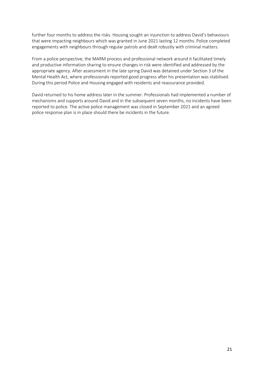further four months to address the risks. Housing sought an injunction to address David's behaviours that were impacting neighbours which was granted in June 2021 lasting 12 months. Police completed engagements with neighbours through regular patrols and dealt robustly with criminal matters.

From a police perspective, the MARM process and professional network around it facilitated timely and productive information sharing to ensure changes in risk were identified and addressed by the appropriate agency. After assessment in the late spring David was detained under Section 3 of the Mental Health Act, where professionals reported good progress after his presentation was stabilised. During this period Police and Housing engaged with residents and reassurance provided.

David returned to his home address later in the summer. Professionals had implemented a number of mechanisms and supports around David and in the subsequent seven months, no incidents have been reported to police. The active police management was closed in September 2021 and an agreed police response plan is in place should there be incidents in the future.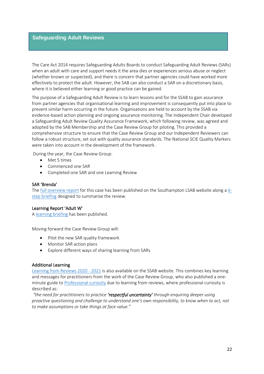### **Safeguarding Adult Reviews**

The Care Act 2014 requires Safeguarding Adults Boards to conduct Safeguarding Adult Reviews (SARs) when an adult with care and support needs it the area dies or experiences serious abuse or neglect (whether known or suspected), and there is concern that partner agencies could have worked more effectively to protect the adult. However, the SAB can also conduct a SAR on a discretionary basis, where it is believed either learning or good practice can be gained.

The purpose of a Safeguarding Adult Review is to learn lessons and for the SSAB to gain assurance from partner agencies that organisational learning and improvement is consequently put into place to prevent similar harm occurring in the future. Organisations are held to account by the SSAB via evidence-based action planning and ongoing assurance monitoring. The Independent Chair developed a Safeguarding Adult Review Quality Assurance Framework, which following review, was agreed and adopted by the SAB Membership and the Case Review Group for piloting. This provided a comprehensive structure to ensure that the Case Review Group and our Independent Reviewers can follow a robust structure, set out with quality assurance standards. The National SCIE Quality Markers were taken into account in the development of the framework.

During the year, the Case Review Group:

- Met 5 times
- Commenced one SAR
- Completed one SAR and one Learning Review

#### SAR 'Brenda'

The [full overview report](http://southamptonlsab.org.uk/wp-content/uploads/Brenda-Overview-Report-Final-.pdf) for this case has been published on the Southampton LSAB website along a [6](http://southamptonlsab.org.uk/wp-content/uploads/6-step-briefing-Brenda-.pdf) [step briefing](http://southamptonlsab.org.uk/wp-content/uploads/6-step-briefing-Brenda-.pdf) designed to summarise the review.

#### Learning Report 'Adult W'

[A learning briefing](http://southamptonlsab.org.uk/wp-content/uploads/Adult-W-Learning-Briefing.pdf) has been published.

Moving forward the Case Review Group will:

- Pilot the new SAR quality framework
- Monitor SAR action plans
- Explore different ways of sharing learning from SARs

#### Additional Learning

[Learning from Reviews 2020 -](http://southamptonlsab.org.uk/learning-from-reviews-2020-21/) 2021 is also available on the SSAB website. This combines key learning and messages for practitioners from the work of the Case Review Group, who also published a oneminute guide to [Professional curiosity](http://southamptonlsab.org.uk/wp-content/uploads/SSAB-Professional-Curiosity-and-Challenge-OMG.pdf) due to learning from reviews, where professional curiosity is described as:

*"the need for practitioners to practice 'respectful uncertainty' through enquiring deeper using proactive questioning and challenge to understand one's own responsibility, to know when to act, not to make assumptions or take things at face value."*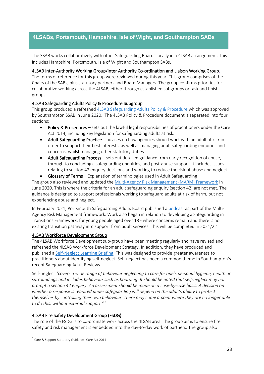## **4LSABs, Portsmouth, Hampshire, Isle of Wight, and Southampton SABs**

The SSAB works collaboratively with other Safeguarding Boards locally in a 4LSAB arrangement. This includes Hampshire, Portsmouth, Isle of Wight and Southampton SABs.

#### 4LSAB Inter-Authority Working Group/Inter Authority Co-ordination and Liaison Working Group.

The terms of reference for this group were reviewed during this year. This group comprises of the Chairs of the SABs, plus statutory partners and Board Managers. The group confirms priorities for collaborative working across the 4LSAB, either through established subgroups or task and finish groups.

#### 4LSAB Safeguarding Adults Policy & Procedure Subgroup

This group produced a refreshed [4LSAB Safeguarding Adults Policy & Procedure](http://www.hampshiresab.org.uk/professionals-area/hampshire_4lsab_multiagency_safeguarding_adults_policy_guidance/) which was approved by Southampton SSAB in June 2020. The 4LSAB Policy & Procedure document is separated into four sections:

- Policy & Procedures sets out the lawful legal responsibilities of practitioners under the Care Act 2014, including key legislation for safeguarding adults at risk.
- Adult Safeguarding Practice advises on how agencies should work with an adult at risk in order to support their best interests, as well as managing adult safeguarding enquiries and concerns, whilst managing other statutory duties
- Adult Safeguarding Process sets out detailed guidance from early recognition of abuse, through to concluding a safeguarding enquiries, and post-abuse support. It includes issues relating to section 42 enquiry decisions and working to reduce the risk of abuse and neglect.
- Glossary of Terms Explanation of terminologies used in Adult Safeguarding

The group also reviewed and updated the [Multi-Agency Risk Management](https://www.hampshiresab.org.uk/wp-content/uploads/4LSAB-MARM-Multi-Agency-Risk-Management-Framework-June-2020.pdf) (MARM) Framework in June 2020. This is where the criteria for an adult safeguarding enquiry (section 42) are not met. The guidance is designed to support professionals working to safeguard adults at risk of harm, but not experiencing abuse and neglect.

In February 2021, Portsmouth Safeguarding Adults Board published a [podcast](http://southamptonlsab.org.uk/policies-procedures-and-guidance/) as part of the Multi-Agency Risk Management framework. Work also began in relation to developing a Safeguarding in Transitions Framework, for young people aged over 18 - where concerns remain and there is no existing transition pathway into support from adult services. This will be completed in 2021/22

#### 4LSAB Workforce Development Group

The 4LSAB Workforce Development sub-group have been meeting regularly and have revised and refreshed the 4LSAB Workforce Development Strategy. In addition, they have produced and published a [Self-Neglect Learning Briefing.](http://southamptonlsab.org.uk/wp-content/uploads/4LSAB-self-neglect-learning-briefing.pdf) This was designed to provide greater awareness to practitioners about identifying self-neglect. Self-neglect has been a common theme in Southampton's recent Safeguarding Adult Reviews.

Self-neglect *"covers a wide range of behaviour neglecting to care for one's personal hygiene, health or surroundings and includes behaviour such as hoarding*. *It should be noted that self-neglect may not prompt a section 42 enquiry. An assessment should be made on a case-by-case basis. A decision on whether a response is required under safeguarding will depend on the adult's ability to protect themselves by controlling their own behaviour. There may come a point where they are no longer able to do this, without external support."* <sup>3</sup>

#### 4LSAB Fire Safety Development Group (FSDG)

The role of the FSDG is to co-ordinate work across the 4LSAB area. The group aims to ensure fire safety and risk management is embedded into the day-to-day work of partners. The group also

<sup>3</sup> Care & Support Statutory Guidance, Care Act 2014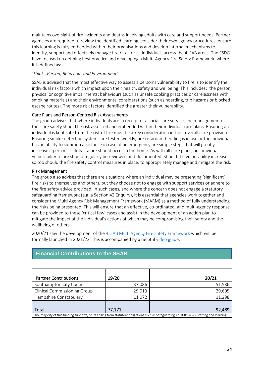maintains oversight of fire incidents and deaths involving adults with care and support needs. Partner agencies are required to review the identified learning, consider their own agency procedures, ensure this learning is fully embedded within their organisations and develop internal mechanisms to identify, support and effectively manage fire risks for all individuals across the 4LSAB areas. The FSDG have focused on defining best practice and developing a Multi-Agency Fire Safety Framework, where it is defined as:

#### *'Think…Person, Behaviour and Environment'*

SSAB is advised that the most effective way to assess a person's vulnerability to fire is to identify the individual risk factors which impact upon their health, safety and wellbeing. This includes: the person, physical or cognitive impairments; behaviours (such as unsafe cooking practices or carelessness with smoking materials) and their environmental considerations (such as hoarding, trip hazards or blocked escape routes). The more risk factors identified the greater their vulnerability.

#### Care Plans and Person-Centred Risk Assessments

The group advises that where individuals are in receipt of a social care service, the management of their fire safety should be risk assessed and embedded within their individual care plans. Ensuring an individual is kept safe from the risk of fire must be a key consideration in their overall care provision. Ensuring smoke detection systems are tested weekly, fire retardant bedding is in use or the individual has an ability to summon assistance in case of an emergency are simple steps that will greatly increase a person's safety if a fire should occur in the home. As with all care plans, an individual's vulnerability to fire should regularly be reviewed and documented. Should the vulnerability increase, so too should the fire safety control measures in place, to appropriately manage and mitigate the risk.

#### Risk Management

The group also advises that there are situations where an individual may be presenting 'significant' fire risks to themselves and others, but they choose not to engage with support services or adhere to the fire safety advice provided. In such cases, and where the concern does not engage a statutory safeguarding framework (e.g. a Section 42 Enquiry), it is essential that agencies work together and consider the Multi Agency Risk Management Framework (MARM) as a method of fully understanding the risks being presented. This will ensure that an effective, co-ordinated, and multi-agency response can be provided to these 'critical few' cases and assist in the development of an action plan to mitigate the impact of the individual's actions of which may be compromising their safety and the wellbeing of others.

2020/21 saw the development of the [4LSAB Multi Agency Fire Safety Framework](https://www.hantsfire.gov.uk/wp-content/uploads/2021/05/Multi-Agency-Fire-Safety-Framework-May-2021-1.pdf) which will be formally launched in 2021/22. This is accompanied by a helpful [video guide.](https://www.youtube.com/watch?v=4jl7O7cei1I)

| <b>Partner Contributions</b>                                                                                                              | 19/20  | 20/21  |  |
|-------------------------------------------------------------------------------------------------------------------------------------------|--------|--------|--|
| Southampton City Council                                                                                                                  | 37,086 | 51,586 |  |
| <b>Clinical Commissioning Group</b>                                                                                                       | 29,013 | 29,605 |  |
| Hampshire Constabulary                                                                                                                    | 11,072 | 11,298 |  |
|                                                                                                                                           |        |        |  |
| Total                                                                                                                                     | 77,171 | 92,489 |  |
| The majority of this funding supports, costs arising from statutory obligations such as Safeguarding Adult Reviews, staffing and learning |        |        |  |

# **Financial Contributions to the SSAB**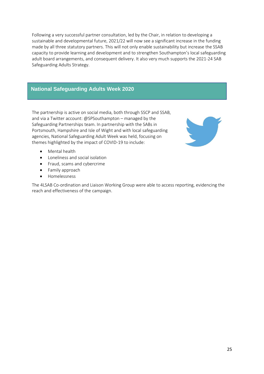Following a very successful partner consultation, led by the Chair, in relation to developing a sustainable and developmental future, 2021/22 will now see a significant increase in the funding made by all three statutory partners. This will not only enable sustainability but increase the SSAB capacity to provide learning and development and to strengthen Southampton's local safeguarding adult board arrangements, and consequent delivery. It also very much supports the 2021-24 SAB Safeguarding Adults Strategy.

# **National Safeguarding Adults Week 2020**

The partnership is active on social media, both through SSCP and SSAB, and via a Twitter account: @SPSouthampton – managed by the Safeguarding Partnerships team. In partnership with the SABs in Portsmouth, Hampshire and Isle of Wight and with local safeguarding agencies, National Safeguarding Adult Week was held, focusing on themes highlighted by the impact of COVID-19 to include:



- Mental health
- Loneliness and social isolation
- Fraud, scams and cybercrime
- Family approach
- Homelessness

The 4LSAB Co-ordination and Liaison Working Group were able to access reporting, evidencing the reach and effectiveness of the campaign.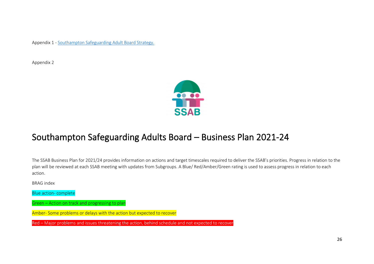Appendix 1 - [Southampton Safeguarding Adult Board Strategy.](http://southamptonlsab.org.uk/wp-content/uploads/SSAB-Strategy-Safeguarding-Adults-2021-24.pdf)

Appendix 2



# Southampton Safeguarding Adults Board – Business Plan 2021-24

The SSAB Business Plan for 2021/24 provides information on actions and target timescales required to deliver the SSAB's priorities. Progress in relation to the plan will be reviewed at each SSAB meeting with updates from Subgroups. A Blue/ Red/Amber/Green rating is used to assess progress in relation to each action.

BRAG index

Blue action- complete

Green – Action on track and progressing to plan

Amber- Some problems or delays with the action but expected to recover

Red – Major problems and issues threatening the action, behind schedule and not expected to recover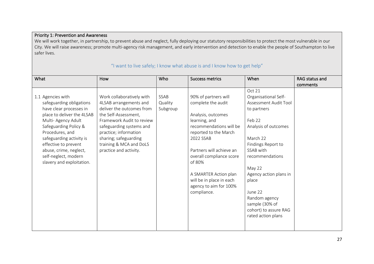### Priority 1: Prevention and Awareness

We will work together, in partnership, to prevent abuse and neglect, fully deploying our statutory responsibilities to protect the most vulnerable in our City. We will raise awareness; promote multi-agency risk management, and early intervention and detection to enable the people of Southampton to live safer lives.

| What                       | How                       | Who      | <b>Success metrics</b>   | When                   | <b>RAG status and</b> |
|----------------------------|---------------------------|----------|--------------------------|------------------------|-----------------------|
|                            |                           |          |                          |                        | comments              |
|                            |                           |          |                          | Oct 21                 |                       |
| 1.1 Agencies with          | Work collaboratively with | SSAB     | 90% of partners will     | Organisational Self-   |                       |
| safeguarding obligations   | 4LSAB arrangements and    | Quality  | complete the audit       | Assessment Audit Tool  |                       |
| have clear processes in    | deliver the outcomes from | Subgroup |                          | to partners            |                       |
| place to deliver the 4LSAB | the Self-Assessment,      |          | Analysis, outcomes       |                        |                       |
| Multi- Agency Adult        | Framework Audit to review |          | learning, and            | Feb 22                 |                       |
| Safeguarding Policy &      | safeguarding systems and  |          | recommendations will be  | Analysis of outcomes   |                       |
| Procedures, and            | practice; information     |          | reported to the March    |                        |                       |
| safeguarding activity is   | sharing; safeguarding     |          | 2022 SSAB                | March 22               |                       |
| effective to prevent       | training & MCA and DoLS   |          |                          | Findings Report to     |                       |
| abuse, crime, neglect,     | practice and activity.    |          | Partners will achieve an | SSAB with              |                       |
| self-neglect, modern       |                           |          | overall compliance score | recommendations        |                       |
| slavery and exploitation.  |                           |          | of 80%                   |                        |                       |
|                            |                           |          |                          | May 22                 |                       |
|                            |                           |          | A SMARTER Action plan    | Agency action plans in |                       |
|                            |                           |          | will be in place in each | place                  |                       |
|                            |                           |          | agency to aim for 100%   |                        |                       |
|                            |                           |          | compliance.              | June 22                |                       |
|                            |                           |          |                          | Random agency          |                       |
|                            |                           |          |                          | sample (30% of         |                       |
|                            |                           |          |                          | cohort) to assure RAG  |                       |
|                            |                           |          |                          | rated action plans     |                       |
|                            |                           |          |                          |                        |                       |
|                            |                           |          |                          |                        |                       |

### "I want to live safely; I know what abuse is and I know how to get help"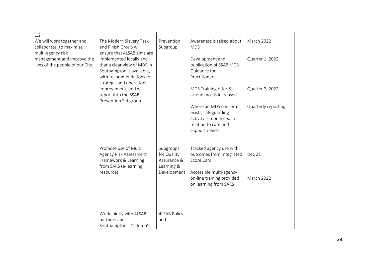| 1.2                              |                             |                     |                                                  |                     |  |
|----------------------------------|-----------------------------|---------------------|--------------------------------------------------|---------------------|--|
| We will work together and        | The Modern Slavery Task     | Prevention          | Awareness is raised about                        | <b>March 2022</b>   |  |
| collaborate, to maximise         | and Finish Group will       | Subgroup            | <b>MDS</b>                                       |                     |  |
| multi-agency risk                | ensure that 4LSAB aims are  |                     |                                                  |                     |  |
| management and improve the       | implemented locally and     |                     | Development and                                  | Quarter 1, 2022     |  |
| lives of the people of our City. | that a clear view of MDS in |                     | publication of SSAB MDS                          |                     |  |
|                                  | Southampton is available,   |                     | Guidance for                                     |                     |  |
|                                  | with recommendations for    |                     | Practitioners.                                   |                     |  |
|                                  | strategic and operational   |                     |                                                  |                     |  |
|                                  | improvement, and will       |                     | MDS Training offer &                             | Quarter 2, 2022     |  |
|                                  | report into the SSAB        |                     | attendance is increased                          |                     |  |
|                                  | Prevention Subgroup         |                     |                                                  |                     |  |
|                                  |                             |                     | Where an MDS concern                             | Quarterly reporting |  |
|                                  |                             |                     | exists, safeguarding                             |                     |  |
|                                  |                             |                     | activity is monitored in<br>relation to care and |                     |  |
|                                  |                             |                     | support needs.                                   |                     |  |
|                                  |                             |                     |                                                  |                     |  |
|                                  |                             |                     |                                                  |                     |  |
|                                  | Promote use of Multi        | Subgroups           | Tracked agency use with                          |                     |  |
|                                  | Agency Risk Assessment      | for Quality         | outcomes from Integrated                         | Dec 21              |  |
|                                  | Framework & Learning        | Assurance &         | Score Card                                       |                     |  |
|                                  | from SARS (e-learning       | Learning &          |                                                  |                     |  |
|                                  | resource)                   | Development         | Accessible multi-agency                          |                     |  |
|                                  |                             |                     | on-line training provided                        | <b>March 2022</b>   |  |
|                                  |                             |                     | on learning from SARS                            |                     |  |
|                                  |                             |                     |                                                  |                     |  |
|                                  |                             |                     |                                                  |                     |  |
|                                  |                             |                     |                                                  |                     |  |
|                                  |                             |                     |                                                  |                     |  |
|                                  | Work jointly with 4LSAB     | <b>4LSAB Policy</b> |                                                  |                     |  |
|                                  | partners and                | and                 |                                                  |                     |  |
|                                  | Southampton's Children's    |                     |                                                  |                     |  |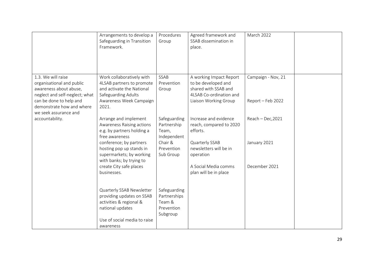|                                                                                                                                                                     | Arrangements to develop a<br>Safeguarding in Transition<br>Framework.                                                                                     | Procedures<br>Group                                                          | Agreed framework and<br>SSAB dissemination in<br>place.                                                                    | March 2022                              |  |
|---------------------------------------------------------------------------------------------------------------------------------------------------------------------|-----------------------------------------------------------------------------------------------------------------------------------------------------------|------------------------------------------------------------------------------|----------------------------------------------------------------------------------------------------------------------------|-----------------------------------------|--|
| 1.3. We will raise<br>organisational and public<br>awareness about abuse,<br>neglect and self-neglect; what<br>can be done to help and<br>demonstrate how and where | Work collaboratively with<br>4LSAB partners to promote<br>and activate the National<br>Safeguarding Adults<br>Awareness Week Campaign<br>2021.            | SSAB<br>Prevention<br>Group                                                  | A working Impact Report<br>to be developed and<br>shared with SSAB and<br>4LSAB Co-ordination and<br>Liaison Working Group | Campaign - Nov, 21<br>Report - Feb 2022 |  |
| we seek assurance and<br>accountability.                                                                                                                            | Arrange and implement<br>Awareness Raising actions<br>e.g. by partners holding a<br>free awareness<br>conference; by partners<br>hosting pop up stands in | Safeguarding<br>Partnership<br>Team,<br>Independent<br>Chair &<br>Prevention | Increase and evidence<br>reach, compared to 2020<br>efforts.<br>Quarterly SSAB<br>newsletters will be in                   | $Reach - Dec, 2021$<br>January 2021     |  |
|                                                                                                                                                                     | supermarkets; by working<br>with banks; by trying to<br>create City safe places<br>businesses.                                                            | Sub Group                                                                    | operation<br>A Social Media comms<br>plan will be in place                                                                 | December 2021                           |  |
|                                                                                                                                                                     | Quarterly SSAB Newsletter<br>providing updates on SSAB<br>activities & regional &<br>national updates<br>Use of social media to raise<br>awareness        | Safeguarding<br>Partnerships<br>Team &<br>Prevention<br>Subgroup             |                                                                                                                            |                                         |  |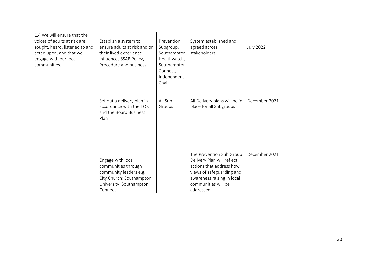| 1.4 We will ensure that the    |                              |              |                               |                  |  |
|--------------------------------|------------------------------|--------------|-------------------------------|------------------|--|
| voices of adults at risk are   | Establish a system to        | Prevention   | System established and        |                  |  |
| sought, heard, listened to and | ensure adults at risk and or | Subgroup,    | agreed across                 | <b>July 2022</b> |  |
| acted upon, and that we        | their lived experience       | Southampton  | stakeholders                  |                  |  |
| engage with our local          | influences SSAB Policy,      | Healthwatch, |                               |                  |  |
| communities.                   | Procedure and business.      | Southampton  |                               |                  |  |
|                                |                              | Connect,     |                               |                  |  |
|                                |                              | Independent  |                               |                  |  |
|                                |                              | Chair        |                               |                  |  |
|                                |                              |              |                               |                  |  |
|                                | Set out a delivery plan in   | All Sub-     | All Delivery plans will be in | December 2021    |  |
|                                | accordance with the TOR      | Groups       | place for all Subgroups       |                  |  |
|                                | and the Board Business       |              |                               |                  |  |
|                                | Plan                         |              |                               |                  |  |
|                                |                              |              |                               |                  |  |
|                                |                              |              |                               |                  |  |
|                                |                              |              |                               |                  |  |
|                                |                              |              |                               |                  |  |
|                                |                              |              |                               |                  |  |
|                                |                              |              | The Prevention Sub Group      | December 2021    |  |
|                                | Engage with local            |              | Delivery Plan will reflect    |                  |  |
|                                | communities through          |              | actions that address how      |                  |  |
|                                | community leaders e.g.       |              | views of safeguarding and     |                  |  |
|                                | City Church; Southampton     |              | awareness raising in local    |                  |  |
|                                | University; Southampton      |              | communities will be           |                  |  |
|                                | Connect                      |              | addressed.                    |                  |  |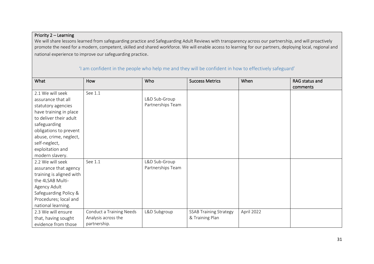## Priority 2 – Learning

We will share lessons learned from safeguarding practice and Safeguarding Adult Reviews with transparency across our partnership, and will proactively promote the need for a modern, competent, skilled and shared workforce. We will enable access to learning for our partners, deploying local, regional and national experience to improve our safeguarding practice.

| What                     | How                             | Who               | <b>Success Metrics</b>        | When       | RAG status and |
|--------------------------|---------------------------------|-------------------|-------------------------------|------------|----------------|
|                          |                                 |                   |                               |            | comments       |
| 2.1 We will seek         | See 1.1                         |                   |                               |            |                |
| assurance that all       |                                 | L&D Sub-Group     |                               |            |                |
| statutory agencies       |                                 | Partnerships Team |                               |            |                |
| have training in place   |                                 |                   |                               |            |                |
| to deliver their adult   |                                 |                   |                               |            |                |
| safeguarding             |                                 |                   |                               |            |                |
| obligations to prevent   |                                 |                   |                               |            |                |
| abuse, crime, neglect,   |                                 |                   |                               |            |                |
| self-neglect,            |                                 |                   |                               |            |                |
| exploitation and         |                                 |                   |                               |            |                |
| modern slavery.          |                                 |                   |                               |            |                |
| 2.2 We will seek         | See 1.1                         | L&D Sub-Group     |                               |            |                |
| assurance that agency    |                                 | Partnerships Team |                               |            |                |
| training is aligned with |                                 |                   |                               |            |                |
| the 4LSAB Multi-         |                                 |                   |                               |            |                |
| Agency Adult             |                                 |                   |                               |            |                |
| Safeguarding Policy &    |                                 |                   |                               |            |                |
| Procedures; local and    |                                 |                   |                               |            |                |
| national learning.       |                                 |                   |                               |            |                |
| 2.3 We will ensure       | <b>Conduct a Training Needs</b> | L&D Subgroup      | <b>SSAB Training Strategy</b> | April 2022 |                |
| that, having sought      | Analysis across the             |                   | & Training Plan               |            |                |
| evidence from those      | partnership.                    |                   |                               |            |                |

### 'I am confident in the people who help me and they will be confident in how to effectively safeguard'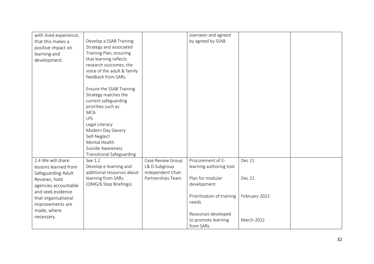| with lived experience, |                                  |                   | overseen and agreed        |                   |  |
|------------------------|----------------------------------|-------------------|----------------------------|-------------------|--|
| that this makes a      | Develop a SSAB Training          |                   | by agreed by SSAB          |                   |  |
| positive impact on     | Strategy and associated          |                   |                            |                   |  |
| learning and           | Training Plan, ensuring          |                   |                            |                   |  |
| development.           | that learning reflects           |                   |                            |                   |  |
|                        | research outcomes; the           |                   |                            |                   |  |
|                        | voice of the adult & family      |                   |                            |                   |  |
|                        | feedback from SARs.              |                   |                            |                   |  |
|                        |                                  |                   |                            |                   |  |
|                        | Ensure the SSAB Training         |                   |                            |                   |  |
|                        | Strategy matches the             |                   |                            |                   |  |
|                        | current safeguarding             |                   |                            |                   |  |
|                        | priorities such as:              |                   |                            |                   |  |
|                        | <b>MCA</b>                       |                   |                            |                   |  |
|                        | LPS                              |                   |                            |                   |  |
|                        | Legal Literacy                   |                   |                            |                   |  |
|                        | Modern Day Slavery               |                   |                            |                   |  |
|                        | Self-Neglect                     |                   |                            |                   |  |
|                        | Mental Health                    |                   |                            |                   |  |
|                        | Suicide Awareness                |                   |                            |                   |  |
|                        | <b>Transitional Safeguarding</b> |                   |                            |                   |  |
| 2.4 We will share      | See 1.2                          | Case Review Group | Procurement of E-          | Dec 21            |  |
| lessons learned from   | Develop e-learning and           | L& D Subgroup     | learning authoring tool    |                   |  |
| Safeguarding Adult     | additional resources about       | Independent Chair |                            |                   |  |
| Reviews, hold          | learning from SARs.              | Partnerships Team | Plan for modular           | Dec 21            |  |
| agencies accountable   | (OMG/6 Step Briefings)           |                   | development                |                   |  |
| and seek evidence      |                                  |                   |                            |                   |  |
| that organisational    |                                  |                   | Prioritisation of training | February 2022     |  |
| improvements are       |                                  |                   | needs                      |                   |  |
| made, where            |                                  |                   |                            |                   |  |
| necessary.             |                                  |                   | Resources developed        |                   |  |
|                        |                                  |                   | to promote learning        | <b>March 2022</b> |  |
|                        |                                  |                   | from SARs                  |                   |  |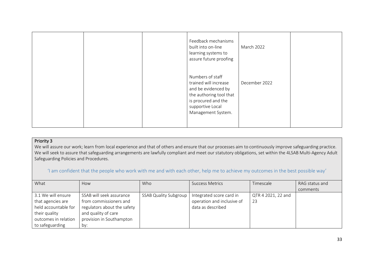|  | Feedback mechanisms<br>built into on-line<br>learning systems to<br>assure future proofing                                                                   | <b>March 2022</b> |  |
|--|--------------------------------------------------------------------------------------------------------------------------------------------------------------|-------------------|--|
|  | Numbers of staff<br>trained will increase<br>and be evidenced by<br>the authoring tool that<br>is procured and the<br>supportive Local<br>Management System. | December 2022     |  |

#### Priority 3

We will assure our work; learn from local experience and that of others and ensure that our processes aim to continuously improve safeguarding practice. We will seek to assure that safeguarding arrangements are lawfully compliant and meet our statutory obligations, set within the 4LSAB Multi-Agency Adult Safeguarding Policies and Procedures.

### 'I am confident that the people who work with me and with each other, help me to achieve my outcomes in the best possible way'

| What                 | How                         | Who                          | <b>Success Metrics</b>     | Timescale          | RAG status and |
|----------------------|-----------------------------|------------------------------|----------------------------|--------------------|----------------|
|                      |                             |                              |                            |                    | comments       |
| 3.1 We will ensure   | SSAB will seek assurance    | <b>SSAB Quality Subgroup</b> | Integrated score card in   | QTR 4 2021, 22 and |                |
| that agencies are    | from commissioners and      |                              | operation and inclusive of | 23                 |                |
| held accountable for | regulators about the safety |                              | data as described          |                    |                |
| their quality        | and quality of care         |                              |                            |                    |                |
| outcomes in relation | provision in Southampton    |                              |                            |                    |                |
| to safeguarding      | by:                         |                              |                            |                    |                |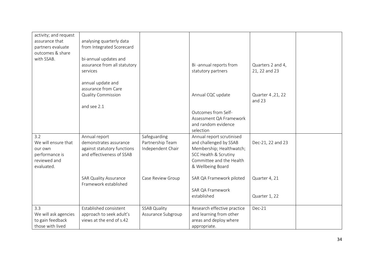| activity; and request<br>assurance that<br>partners evaluate<br>outcomes & share<br>with SSAB. | analysing quarterly data<br>from Integrated Scorecard<br>bi-annual updates and<br>assurance from all statutory<br>services |                                                       | Bi-annual reports from<br>statutory partners                                                                                                              | Quarters 2 and 4,<br>21, 22 and 23 |  |
|------------------------------------------------------------------------------------------------|----------------------------------------------------------------------------------------------------------------------------|-------------------------------------------------------|-----------------------------------------------------------------------------------------------------------------------------------------------------------|------------------------------------|--|
|                                                                                                | annual update and<br>assurance from Care<br><b>Quality Commission</b><br>and see 2.1                                       |                                                       | Annual CQC update                                                                                                                                         | Quarter 4, 21, 22<br>and 23        |  |
|                                                                                                |                                                                                                                            |                                                       | Outcomes from Self-<br>Assessment QA Framework<br>and random evidence<br>selection                                                                        |                                    |  |
| 3.2<br>We will ensure that<br>our own<br>performance is<br>reviewed and<br>evaluated.          | Annual report<br>demonstrates assurance<br>against statutory functions<br>and effectiveness of SSAB                        | Safeguarding<br>Partnership Team<br>Independent Chair | Annual report scrutinised<br>and challenged by SSAB<br>Membership; Healthwatch;<br>SCC Health & Scrutiny<br>Committee and the Health<br>& Wellbeing Board | Dec-21, 22 and 23                  |  |
|                                                                                                | <b>SAR Quality Assurance</b><br>Framework established                                                                      | Case Review Group                                     | SAR QA Framework piloted<br>SAR QA Framework<br>established                                                                                               | Quarter 4, 21<br>Quarter 1, 22     |  |
| 3.3<br>We will ask agencies<br>to gain feedback<br>those with lived                            | Established consistent<br>approach to seek adult's<br>views at the end of s.42                                             | <b>SSAB Quality</b><br>Assurance Subgroup             | Research effective practice<br>and learning from other<br>areas and deploy where<br>appropriate.                                                          | Dec-21                             |  |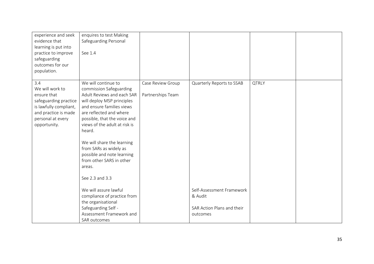| experience and seek<br>evidence that<br>learning is put into<br>practice to improve<br>safeguarding<br>outcomes for our<br>population.                | enquires to test Making<br>Safeguarding Personal<br>See 1.4                                                                                                                                                                                                                                                                                                                                  |                                        |                                                                                |              |  |
|-------------------------------------------------------------------------------------------------------------------------------------------------------|----------------------------------------------------------------------------------------------------------------------------------------------------------------------------------------------------------------------------------------------------------------------------------------------------------------------------------------------------------------------------------------------|----------------------------------------|--------------------------------------------------------------------------------|--------------|--|
| 3.4<br>We will work to<br>ensure that<br>safeguarding practice<br>is lawfully compliant,<br>and practice is made<br>personal at every<br>opportunity. | We will continue to<br>commission Safeguarding<br>Adult Reviews and each SAR<br>will deploy MSP principles<br>and ensure families views<br>are reflected and where<br>possible, that the voice and<br>views of the adult at risk is<br>heard.<br>We will share the learning<br>from SARs as widely as<br>possible and note learning<br>from other SARS in other<br>areas.<br>See 2.3 and 3.3 | Case Review Group<br>Partnerships Team | Quarterly Reports to SSAB                                                      | <b>QTRLY</b> |  |
|                                                                                                                                                       | We will assure lawful<br>compliance of practice from<br>the organisational<br>Safeguarding Self -<br>Assessment Framework and<br>SAR outcomes                                                                                                                                                                                                                                                |                                        | Self-Assessment Framework<br>& Audit<br>SAR Action Plans and their<br>outcomes |              |  |